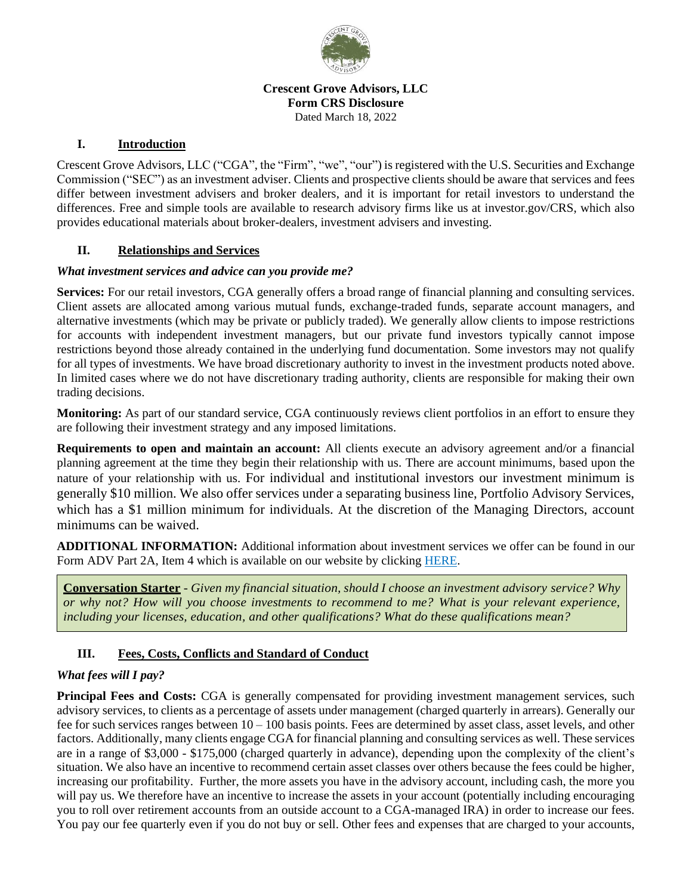

#### **Crescent Grove Advisors, LLC Form CRS Disclosure** Dated March 18, 2022

### **I. Introduction**

Crescent Grove Advisors, LLC ("CGA", the "Firm", "we", "our") is registered with the U.S. Securities and Exchange Commission ("SEC") as an investment adviser. Clients and prospective clients should be aware that services and fees differ between investment advisers and broker dealers, and it is important for retail investors to understand the differences. Free and simple tools are available to research advisory firms like us at investor.gov/CRS, which also provides educational materials about broker-dealers, investment advisers and investing.

### **II. Relationships and Services**

#### *What investment services and advice can you provide me?*

**Services:** For our retail investors, CGA generally offers a broad range of financial planning and consulting services. Client assets are allocated among various mutual funds, exchange-traded funds, separate account managers, and alternative investments (which may be private or publicly traded). We generally allow clients to impose restrictions for accounts with independent investment managers, but our private fund investors typically cannot impose restrictions beyond those already contained in the underlying fund documentation. Some investors may not qualify for all types of investments. We have broad discretionary authority to invest in the investment products noted above. In limited cases where we do not have discretionary trading authority, clients are responsible for making their own trading decisions.

**Monitoring:** As part of our standard service, CGA continuously reviews client portfolios in an effort to ensure they are following their investment strategy and any imposed limitations.

**Requirements to open and maintain an account:** All clients execute an advisory agreement and/or a financial planning agreement at the time they begin their relationship with us. There are account minimums, based upon the nature of your relationship with us. For individual and institutional investors our investment minimum is generally \$10 million. We also offer services under a separating business line, Portfolio Advisory Services, which has a \$1 million minimum for individuals. At the discretion of the Managing Directors, account minimums can be waived.

**ADDITIONAL INFORMATION:** Additional information about investment services we offer can be found in our Form ADV Part 2A, Item 4 which is available on our website by clicking [HERE.](https://crescentgroveadvisors.com/wp-content/uploads/2022/03/CGA-ADV-Part-2A-Brochure-2021.12.31.pdf)

**Conversation Starter** - *Given my financial situation, should I choose an investment advisory service? Why or why not? How will you choose investments to recommend to me? What is your relevant experience, including your licenses, education, and other qualifications? What do these qualifications mean?*

# **III. Fees, Costs, Conflicts and Standard of Conduct**

# *What fees will I pay?*

Principal Fees and Costs: CGA is generally compensated for providing investment management services, such advisory services, to clients as a percentage of assets under management (charged quarterly in arrears). Generally our fee for such services ranges between  $10 - 100$  basis points. Fees are determined by asset class, asset levels, and other factors. Additionally, many clients engage CGA for financial planning and consulting services as well. These services are in a range of \$3,000 - \$175,000 (charged quarterly in advance), depending upon the complexity of the client's situation. We also have an incentive to recommend certain asset classes over others because the fees could be higher, increasing our profitability. Further, the more assets you have in the advisory account, including cash, the more you will pay us. We therefore have an incentive to increase the assets in your account (potentially including encouraging you to roll over retirement accounts from an outside account to a CGA-managed IRA) in order to increase our fees. You pay our fee quarterly even if you do not buy or sell. Other fees and expenses that are charged to your accounts,